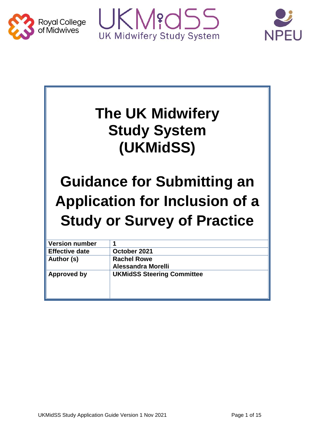





# **The UK Midwifery Study System (UKMidSS)**

# **Guidance for Submitting an Application for Inclusion of a Study or Survey of Practice**

| <b>Version number</b> |                                   |
|-----------------------|-----------------------------------|
| <b>Effective date</b> | October 2021                      |
| Author (s)            | <b>Rachel Rowe</b>                |
|                       | Alessandra Morelli                |
| Approved by           | <b>UKMidSS Steering Committee</b> |
|                       |                                   |
|                       |                                   |
|                       |                                   |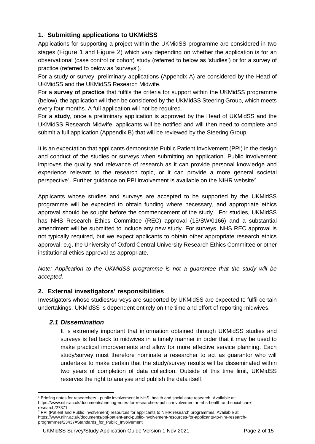# **1. Submitting applications to UKMidSS**

Applications for supporting a project within the UKMidSS programme are considered in two stages ([Figure 1](#page-4-0) and [Figure 2](#page-5-0)) which vary depending on whether the application is for an observational (case control or cohort) study (referred to below as 'studies') or for a survey of practice (referred to below as 'surveys').

For a study or survey, preliminary applications (Appendix A) are considered by the Head of UKMidSS and the UKMidSS Research Midwife.

For a **survey of practice** that fulfils the criteria for support within the UKMidSS programme (below), the application will then be considered by the UKMidSS Steering Group, which meets every four months. A full application will not be required.

For a **study**, once a preliminary application is approved by the Head of UKMidSS and the UKMidSS Research Midwife, applicants will be notified and will then need to complete and submit a full application (Appendix B) that will be reviewed by the Steering Group.

It is an expectation that applicants demonstrate Public Patient Involvement (PPI) in the design and conduct of the studies or surveys when submitting an application. Public involvement improves the quality and relevance of research as it can provide personal knowledge and experience relevant to the research topic, or it can provide a more general societal perspective<sup>1</sup>. Further guidance on PPI involvement is available on the NIHR website<sup>2</sup>.

Applicants whose studies and surveys are accepted to be supported by the UKMidSS programme will be expected to obtain funding where necessary, and appropriate ethics approval should be sought before the commencement of the study. For studies, UKMidSS has NHS Research Ethics Committee (REC) approval (15/SW/0166) and a substantial amendment will be submitted to include any new study. For surveys, NHS REC approval is not typically required, but we expect applicants to obtain other appropriate research ethics approval, e.g. the University of Oxford Central University Research Ethics Committee or other institutional ethics approval as appropriate.

*Note: Application to the UKMidSS programme is not a guarantee that the study will be accepted.* 

# **2. External investigators' responsibilities**

Investigators whose studies/surveys are supported by UKMidSS are expected to fulfil certain undertakings. UKMidSS is dependent entirely on the time and effort of reporting midwives.

# *2.1 Dissemination*

It is extremely important that information obtained through UKMidSS studies and surveys is fed back to midwives in a timely manner in order that it may be used to make practical improvements and allow for more effective service planning. Each study/survey must therefore nominate a researcher to act as guarantor who will undertake to make certain that the study/survey results will be disseminated within two years of completion of data collection. Outside of this time limit, UKMidSS reserves the right to analyse and publish the data itself.

<sup>1</sup> <sup>1</sup> Briefing notes for researchers - public involvement in NHS, health and social care research. Available at: https://www.nihr.ac.uk/documents/briefing-notes-for-researchers-public-involvement-in-nhs-health-and-social-careresearch/27371

<sup>&</sup>lt;sup>2</sup> PPI (Patient and Public Involvement) resources for applicants to NIHR research programmes. Available at https://www.nihr.ac.uk/documents/ppi-patient-and-public-involvement-resources-for-applicants-to-nihr-researchprogrammes/23437#Standards\_for\_Public\_Involvement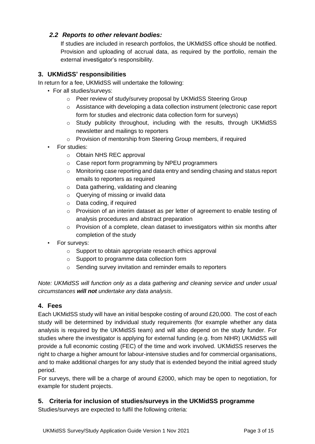# *2.2 Reports to other relevant bodies:*

If studies are included in research portfolios, the UKMidSS office should be notified. Provision and uploading of accrual data, as required by the portfolio, remain the external investigator's responsibility.

# **3. UKMidSS' responsibilities**

In return for a fee, UKMidSS will undertake the following:

- For all studies/surveys:
	- o Peer review of study/survey proposal by UKMidSS Steering Group
	- o Assistance with developing a data collection instrument (electronic case report form for studies and electronic data collection form for surveys)
	- $\circ$  Study publicity throughout, including with the results, through UKMidSS newsletter and mailings to reporters
	- o Provision of mentorship from Steering Group members, if required
- For studies:
	- o Obtain NHS REC approval
	- o Case report form programming by NPEU programmers
	- o Monitoring case reporting and data entry and sending chasing and status report emails to reporters as required
	- o Data gathering, validating and cleaning
	- o Querying of missing or invalid data
	- o Data coding, if required
	- $\circ$  Provision of an interim dataset as per letter of agreement to enable testing of analysis procedures and abstract preparation
	- o Provision of a complete, clean dataset to investigators within six months after completion of the study
- For surveys:
	- o Support to obtain appropriate research ethics approval
	- o Support to programme data collection form
	- o Sending survey invitation and reminder emails to reporters

*Note: UKMidSS will function only as a data gathering and cleaning service and under usual circumstances will not undertake any data analysis*.

# **4. Fees**

Each UKMidSS study will have an initial bespoke costing of around £20,000. The cost of each study will be determined by individual study requirements (for example whether any data analysis is required by the UKMidSS team) and will also depend on the study funder. For studies where the investigator is applying for external funding (e.g. from NIHR) UKMidSS will provide a full economic costing (FEC) of the time and work involved. UKMidSS reserves the right to charge a higher amount for labour-intensive studies and for commercial organisations, and to make additional charges for any study that is extended beyond the initial agreed study period.

For surveys, there will be a charge of around £2000, which may be open to negotiation, for example for student projects.

# **5. Criteria for inclusion of studies/surveys in the UKMidSS programme**

Studies/surveys are expected to fulfil the following criteria: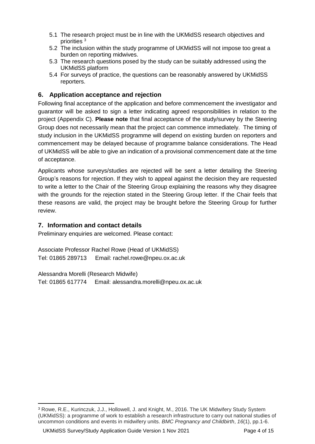- 5.1 The research project must be in line with the UKMidSS research objectives and priorities <sup>3</sup>
- 5.2 The inclusion within the study programme of UKMidSS will not impose too great a burden on reporting midwives.
- 5.3 The research questions posed by the study can be suitably addressed using the UKMidSS platform
- 5.4 For surveys of practice, the questions can be reasonably answered by UKMidSS reporters.

# **6. Application acceptance and rejection**

Following final acceptance of the application and before commencement the investigator and guarantor will be asked to sign a letter indicating agreed responsibilities in relation to the project (Appendix C). **Please note** that final acceptance of the study/survey by the Steering Group does not necessarily mean that the project can commence immediately. The timing of study inclusion in the UKMidSS programme will depend on existing burden on reporters and commencement may be delayed because of programme balance considerations. The Head of UKMidSS will be able to give an indication of a provisional commencement date at the time of acceptance.

Applicants whose surveys/studies are rejected will be sent a letter detailing the Steering Group's reasons for rejection. If they wish to appeal against the decision they are requested to write a letter to the Chair of the Steering Group explaining the reasons why they disagree with the grounds for the rejection stated in the Steering Group letter. If the Chair feels that these reasons are valid, the project may be brought before the Steering Group for further review.

# **7. Information and contact details**

Preliminary enquiries are welcomed. Please contact:

Associate Professor Rachel Rowe (Head of UKMidSS) Tel: 01865 289713 Email: rachel.rowe@npeu.ox.ac.uk

Alessandra Morelli (Research Midwife) Tel: 01865 617774 Email: alessandra.morelli@npeu.ox.ac.uk

<sup>1</sup> <sup>3</sup> Rowe, R.E., Kurinczuk, J.J., Hollowell, J. and Knight, M., 2016. The UK Midwifery Study System (UKMidSS): a programme of work to establish a research infrastructure to carry out national studies of uncommon conditions and events in midwifery units. *BMC Pregnancy and Childbirth*, *16*(1), pp.1-6.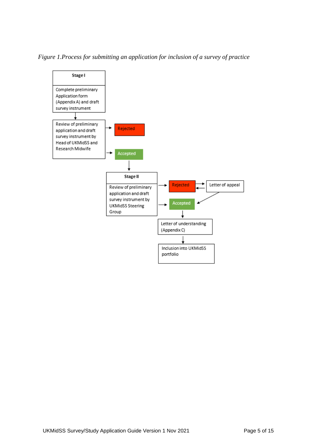<span id="page-4-0"></span>*Figure 1.Process for submitting an application for inclusion of a survey of practice*

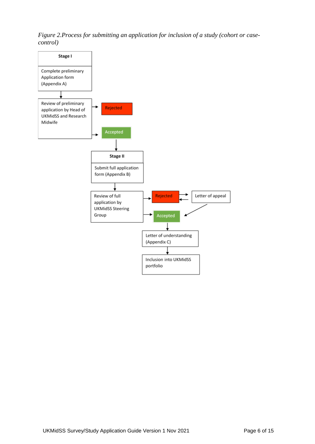<span id="page-5-0"></span>*Figure 2.Process for submitting an application for inclusion of a study (cohort or casecontrol)*

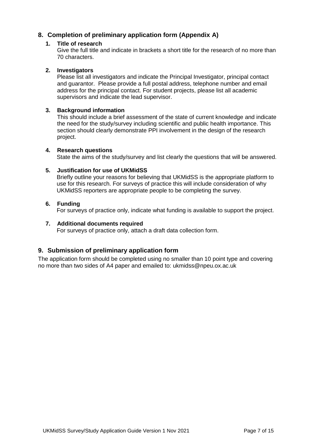# **8. Completion of preliminary application form (Appendix A)**

#### **1. Title of research**

Give the full title and indicate in brackets a short title for the research of no more than 70 characters.

#### **2. Investigators**

Please list all investigators and indicate the Principal Investigator, principal contact and guarantor. Please provide a full postal address, telephone number and email address for the principal contact. For student projects, please list all academic supervisors and indicate the lead supervisor.

#### **3. Background information**

This should include a brief assessment of the state of current knowledge and indicate the need for the study/survey including scientific and public health importance. This section should clearly demonstrate PPI involvement in the design of the research project.

#### **4. Research questions**

State the aims of the study/survey and list clearly the questions that will be answered.

#### **5. Justification for use of UKMidSS**

Briefly outline your reasons for believing that UKMidSS is the appropriate platform to use for this research. For surveys of practice this will include consideration of why UKMidSS reporters are appropriate people to be completing the survey.

#### **6. Funding**

For surveys of practice only, indicate what funding is available to support the project.

#### **7. Additional documents required**

For surveys of practice only, attach a draft data collection form.

### **9. Submission of preliminary application form**

The application form should be completed using no smaller than 10 point type and covering no more than two sides of A4 paper and emailed to: ukmidss@npeu.ox.ac.uk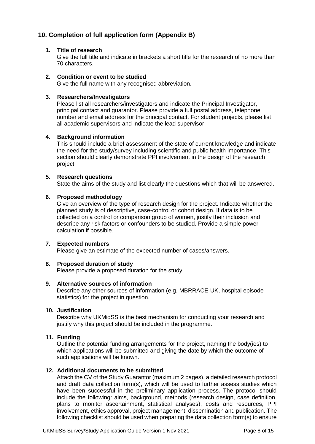# **10. Completion of full application form (Appendix B)**

#### **1. Title of research**

Give the full title and indicate in brackets a short title for the research of no more than 70 characters.

#### **2. Condition or event to be studied**

Give the full name with any recognised abbreviation.

#### **3. Researchers/Investigators**

Please list all researchers/investigators and indicate the Principal Investigator, principal contact and guarantor. Please provide a full postal address, telephone number and email address for the principal contact. For student projects, please list all academic supervisors and indicate the lead supervisor.

#### **4. Background information**

This should include a brief assessment of the state of current knowledge and indicate the need for the study/survey including scientific and public health importance. This section should clearly demonstrate PPI involvement in the design of the research project.

#### **5. Research questions**

State the aims of the study and list clearly the questions which that will be answered.

#### **6. Proposed methodology**

Give an overview of the type of research design for the project. Indicate whether the planned study is of descriptive, case-control or cohort design. If data is to be collected on a control or comparison group of women, justify their inclusion and describe any risk factors or confounders to be studied. Provide a simple power calculation if possible.

#### **7. Expected numbers**

Please give an estimate of the expected number of cases/answers.

#### **8. Proposed duration of study**

Please provide a proposed duration for the study

#### **9. Alternative sources of information**

Describe any other sources of information (e.g. MBRRACE-UK, hospital episode statistics) for the project in question.

#### **10. Justification**

Describe why UKMidSS is the best mechanism for conducting your research and justify why this project should be included in the programme.

#### **11. Funding**

Outline the potential funding arrangements for the project, naming the body(ies) to which applications will be submitted and giving the date by which the outcome of such applications will be known.

#### **12. Additional documents to be submitted**

Attach the CV of the Study Guarantor (maximum 2 pages), a detailed research protocol and draft data collection form(s), which will be used to further assess studies which have been successful in the preliminary application process. The protocol should include the following: aims, background, methods (research design, case definition, plans to monitor ascertainment, statistical analyses), costs and resources, PPI involvement, ethics approval, project management, dissemination and publication. The following checklist should be used when preparing the data collection form(s) to ensure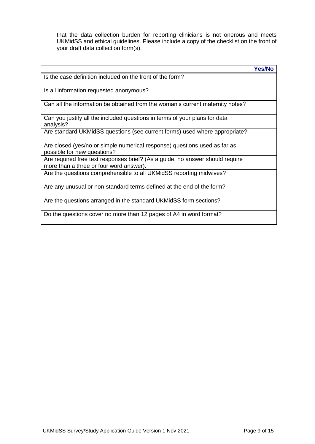that the data collection burden for reporting clinicians is not onerous and meets UKMidSS and ethical guidelines. Please include a copy of the checklist on the front of your draft data collection form(s).

|                                                                                                                          | <b>Yes/No</b> |
|--------------------------------------------------------------------------------------------------------------------------|---------------|
| Is the case definition included on the front of the form?                                                                |               |
| Is all information requested anonymous?                                                                                  |               |
| Can all the information be obtained from the woman's current maternity notes?                                            |               |
| Can you justify all the included questions in terms of your plans for data<br>analysis?                                  |               |
| Are standard UKMidSS questions (see current forms) used where appropriate?                                               |               |
| Are closed (yes/no or simple numerical response) questions used as far as<br>possible for new questions?                 |               |
| Are required free text responses brief? (As a guide, no answer should require<br>more than a three or four word answer). |               |
| Are the questions comprehensible to all UKMidSS reporting midwives?                                                      |               |
| Are any unusual or non-standard terms defined at the end of the form?                                                    |               |
| Are the questions arranged in the standard UKMidSS form sections?                                                        |               |
| Do the questions cover no more than 12 pages of A4 in word format?                                                       |               |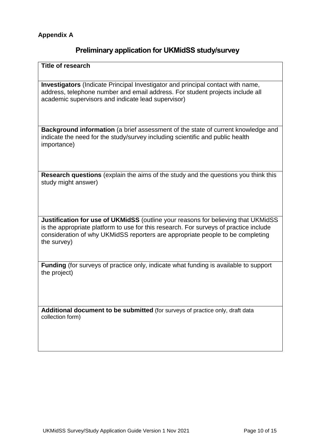# **Preliminary application for UKMidSS study/survey**

**Title of research**

**Investigators** (Indicate Principal Investigator and principal contact with name, address, telephone number and email address. For student projects include all academic supervisors and indicate lead supervisor)

**Background information** (a brief assessment of the state of current knowledge and indicate the need for the study/survey including scientific and public health importance)

**Research questions** (explain the aims of the study and the questions you think this study might answer)

**Justification for use of UKMidSS** (outline your reasons for believing that UKMidSS is the appropriate platform to use for this research. For surveys of practice include consideration of why UKMidSS reporters are appropriate people to be completing the survey)

**Funding** (for surveys of practice only, indicate what funding is available to support the project)

**Additional document to be submitted** (for surveys of practice only, draft data collection form)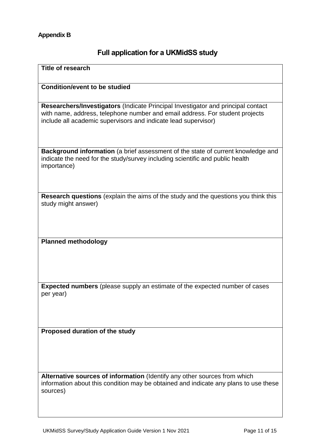# **Full application for a UKMidSS study**

| <b>Title of research</b>                                                                                                                                                                                                           |  |
|------------------------------------------------------------------------------------------------------------------------------------------------------------------------------------------------------------------------------------|--|
| <b>Condition/event to be studied</b>                                                                                                                                                                                               |  |
| Researchers/Investigators (Indicate Principal Investigator and principal contact<br>with name, address, telephone number and email address. For student projects<br>include all academic supervisors and indicate lead supervisor) |  |
| Background information (a brief assessment of the state of current knowledge and<br>indicate the need for the study/survey including scientific and public health<br>importance)                                                   |  |
| Research questions (explain the aims of the study and the questions you think this<br>study might answer)                                                                                                                          |  |
| <b>Planned methodology</b>                                                                                                                                                                                                         |  |
|                                                                                                                                                                                                                                    |  |
| <b>Expected numbers</b> (please supply an estimate of the expected number of cases<br>per year)                                                                                                                                    |  |
| Proposed duration of the study                                                                                                                                                                                                     |  |
|                                                                                                                                                                                                                                    |  |
| Alternative sources of information (Identify any other sources from which<br>information about this condition may be obtained and indicate any plans to use these<br>sources)                                                      |  |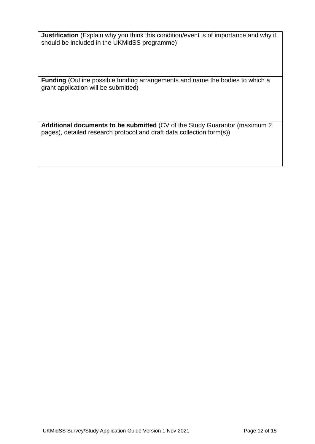**Justification** (Explain why you think this condition/event is of importance and why it should be included in the UKMidSS programme)

**Funding** (Outline possible funding arrangements and name the bodies to which a grant application will be submitted)

**Additional documents to be submitted** (CV of the Study Guarantor (maximum 2 pages), detailed research protocol and draft data collection form(s))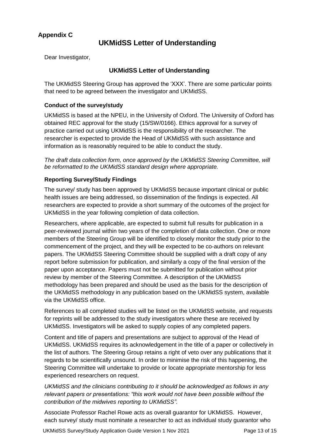# **Appendix C**

# **UKMidSS Letter of Understanding**

Dear Investigator,

## **UKMidSS Letter of Understanding**

The UKMidSS Steering Group has approved the 'XXX'. There are some particular points that need to be agreed between the investigator and UKMidSS.

#### **Conduct of the survey/study**

UKMidSS is based at the NPEU, in the University of Oxford. The University of Oxford has obtained REC approval for the study (15/SW/0166). Ethics approval for a survey of practice carried out using UKMidSS is the responsibility of the researcher. The researcher is expected to provide the Head of UKMidSS with such assistance and information as is reasonably required to be able to conduct the study.

*The draft data collection form, once approved by the UKMidSS Steering Committee, will be reformatted to the UKMidSS standard design where appropriate.* 

#### **Reporting Survey/Study Findings**

The survey/ study has been approved by UKMidSS because important clinical or public health issues are being addressed, so dissemination of the findings is expected. All researchers are expected to provide a short summary of the outcomes of the project for UKMidSS in the year following completion of data collection.

Researchers, where applicable, are expected to submit full results for publication in a peer-reviewed journal within two years of the completion of data collection. One or more members of the Steering Group will be identified to closely monitor the study prior to the commencement of the project, and they will be expected to be co-authors on relevant papers. The UKMidSS Steering Committee should be supplied with a draft copy of any report before submission for publication, and similarly a copy of the final version of the paper upon acceptance. Papers must not be submitted for publication without prior review by member of the Steering Committee. A description of the UKMidSS methodology has been prepared and should be used as the basis for the description of the UKMidSS methodology in any publication based on the UKMidSS system, available via the UKMidSS office.

References to all completed studies will be listed on the UKMidSS website, and requests for reprints will be addressed to the study investigators where these are received by UKMidSS. Investigators will be asked to supply copies of any completed papers.

Content and title of papers and presentations are subject to approval of the Head of UKMidSS. UKMidSS requires its acknowledgement in the title of a paper or collectively in the list of authors. The Steering Group retains a right of veto over any publications that it regards to be scientifically unsound. In order to minimise the risk of this happening, the Steering Committee will undertake to provide or locate appropriate mentorship for less experienced researchers on request.

*UKMidSS and the clinicians contributing to it should be acknowledged as follows in any relevant papers or presentations: "this work would not have been possible without the contribution of the midwives reporting to UKMidSS".*

Associate Professor Rachel Rowe acts as overall guarantor for UKMidSS. However, each survey/ study must nominate a researcher to act as individual study guarantor who

UKMidSS Survey/Study Application Guide Version 1 Nov 2021 Page 13 of 15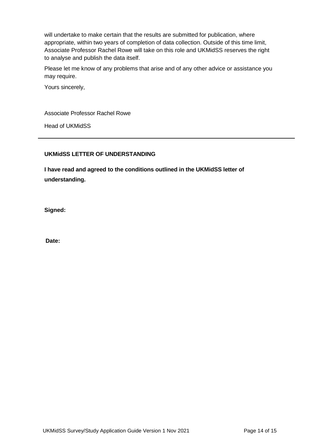will undertake to make certain that the results are submitted for publication, where appropriate, within two years of completion of data collection. Outside of this time limit, Associate Professor Rachel Rowe will take on this role and UKMidSS reserves the right to analyse and publish the data itself.

Please let me know of any problems that arise and of any other advice or assistance you may require.

Yours sincerely,

Associate Professor Rachel Rowe

Head of UKMidSS

### **UKMidSS LETTER OF UNDERSTANDING**

**I have read and agreed to the conditions outlined in the UKMidSS letter of understanding.**

**Signed:**

**Date:**